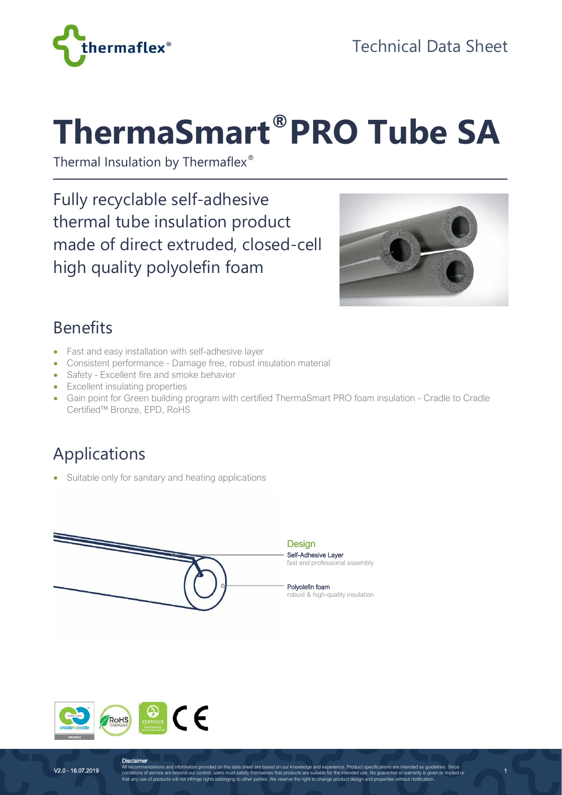



# **ThermaSmart®PRO Tube SA**

Thermal Insulation by Thermaflex®

Fully recyclable self-adhesive thermal tube insulation product made of direct extruded, closed-cell high quality polyolefin foam



1

#### Benefits

- Fast and easy installation with self-adhesive layer
- Consistent performance Damage free, robust insulation material
- Safety Excellent fire and smoke behavior
- Excellent insulating properties
- Gain point for Green building program with certified ThermaSmart PRO foam insulation Cradle to Cradle Certified™ Bronze, EPD, RoHS

## Applications

• Suitable only for sanitary and heating applications





**Disclaimer**